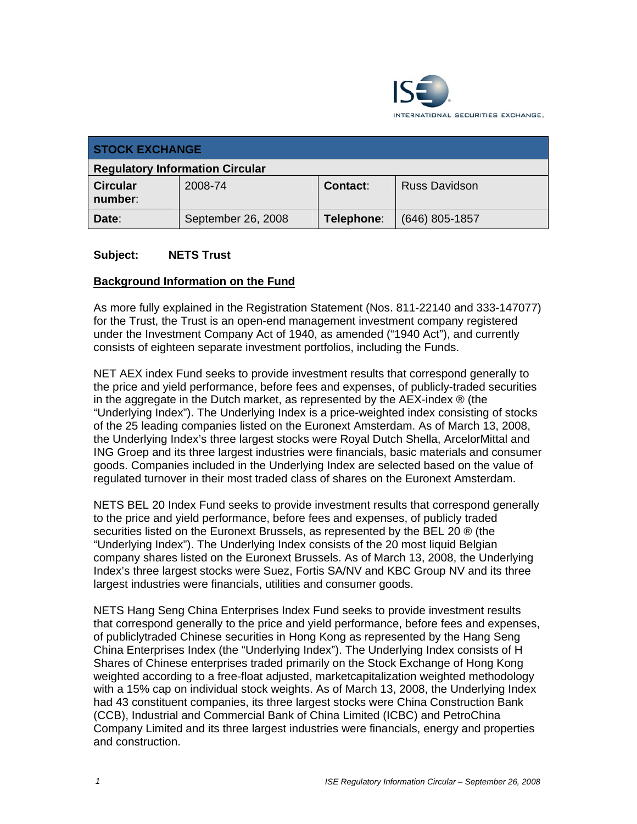

| <b>STOCK EXCHANGE</b>                  |                    |            |                      |
|----------------------------------------|--------------------|------------|----------------------|
| <b>Regulatory Information Circular</b> |                    |            |                      |
| <b>Circular</b><br>number:             | 2008-74            | Contact:   | <b>Russ Davidson</b> |
| Date:                                  | September 26, 2008 | Telephone: | $(646)$ 805-1857     |

#### **Subject: NETS Trust**

#### **Background Information on the Fund**

As more fully explained in the Registration Statement (Nos. 811-22140 and 333-147077) for the Trust, the Trust is an open-end management investment company registered under the Investment Company Act of 1940, as amended ("1940 Act"), and currently consists of eighteen separate investment portfolios, including the Funds.

NET AEX index Fund seeks to provide investment results that correspond generally to the price and yield performance, before fees and expenses, of publicly-traded securities in the aggregate in the Dutch market, as represented by the AEX-index ® (the "Underlying Index"). The Underlying Index is a price-weighted index consisting of stocks of the 25 leading companies listed on the Euronext Amsterdam. As of March 13, 2008, the Underlying Index's three largest stocks were Royal Dutch Shella, ArcelorMittal and ING Groep and its three largest industries were financials, basic materials and consumer goods. Companies included in the Underlying Index are selected based on the value of regulated turnover in their most traded class of shares on the Euronext Amsterdam.

NETS BEL 20 Index Fund seeks to provide investment results that correspond generally to the price and yield performance, before fees and expenses, of publicly traded securities listed on the Euronext Brussels, as represented by the BEL 20 ® (the "Underlying Index"). The Underlying Index consists of the 20 most liquid Belgian company shares listed on the Euronext Brussels. As of March 13, 2008, the Underlying Index's three largest stocks were Suez, Fortis SA/NV and KBC Group NV and its three largest industries were financials, utilities and consumer goods.

NETS Hang Seng China Enterprises Index Fund seeks to provide investment results that correspond generally to the price and yield performance, before fees and expenses, of publiclytraded Chinese securities in Hong Kong as represented by the Hang Seng China Enterprises Index (the "Underlying Index"). The Underlying Index consists of H Shares of Chinese enterprises traded primarily on the Stock Exchange of Hong Kong weighted according to a free-float adjusted, marketcapitalization weighted methodology with a 15% cap on individual stock weights. As of March 13, 2008, the Underlying Index had 43 constituent companies, its three largest stocks were China Construction Bank (CCB), Industrial and Commercial Bank of China Limited (ICBC) and PetroChina Company Limited and its three largest industries were financials, energy and properties and construction.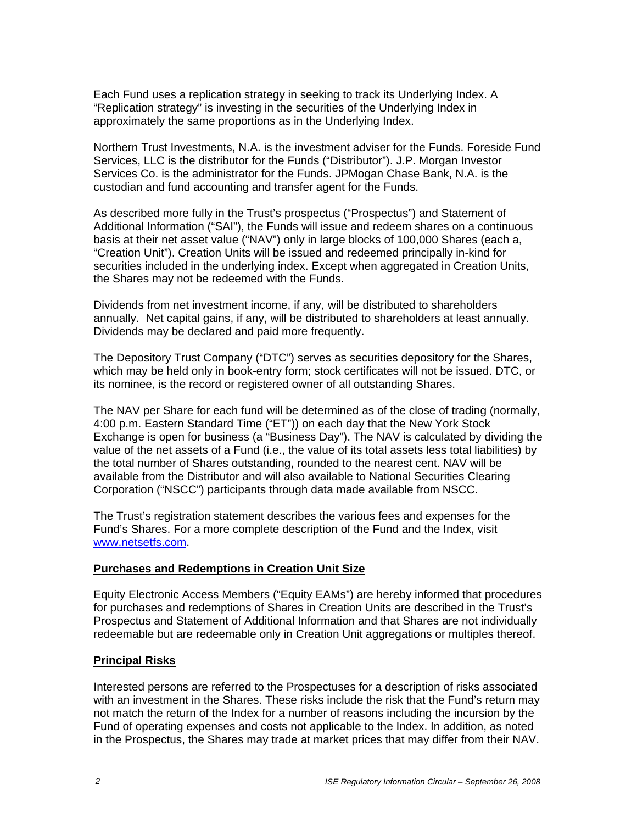Each Fund uses a replication strategy in seeking to track its Underlying Index. A "Replication strategy" is investing in the securities of the Underlying Index in approximately the same proportions as in the Underlying Index.

Northern Trust Investments, N.A. is the investment adviser for the Funds. Foreside Fund Services, LLC is the distributor for the Funds ("Distributor"). J.P. Morgan Investor Services Co. is the administrator for the Funds. JPMogan Chase Bank, N.A. is the custodian and fund accounting and transfer agent for the Funds.

As described more fully in the Trust's prospectus ("Prospectus") and Statement of Additional Information ("SAI"), the Funds will issue and redeem shares on a continuous basis at their net asset value ("NAV") only in large blocks of 100,000 Shares (each a, "Creation Unit"). Creation Units will be issued and redeemed principally in-kind for securities included in the underlying index. Except when aggregated in Creation Units, the Shares may not be redeemed with the Funds.

Dividends from net investment income, if any, will be distributed to shareholders annually. Net capital gains, if any, will be distributed to shareholders at least annually. Dividends may be declared and paid more frequently.

The Depository Trust Company ("DTC") serves as securities depository for the Shares, which may be held only in book-entry form; stock certificates will not be issued. DTC, or its nominee, is the record or registered owner of all outstanding Shares.

The NAV per Share for each fund will be determined as of the close of trading (normally, 4:00 p.m. Eastern Standard Time ("ET")) on each day that the New York Stock Exchange is open for business (a "Business Day"). The NAV is calculated by dividing the value of the net assets of a Fund (i.e., the value of its total assets less total liabilities) by the total number of Shares outstanding, rounded to the nearest cent. NAV will be available from the Distributor and will also available to National Securities Clearing Corporation ("NSCC") participants through data made available from NSCC.

The Trust's registration statement describes the various fees and expenses for the Fund's Shares. For a more complete description of the Fund and the Index, visit www.netsetfs.com.

### **Purchases and Redemptions in Creation Unit Size**

Equity Electronic Access Members ("Equity EAMs") are hereby informed that procedures for purchases and redemptions of Shares in Creation Units are described in the Trust's Prospectus and Statement of Additional Information and that Shares are not individually redeemable but are redeemable only in Creation Unit aggregations or multiples thereof.

#### **Principal Risks**

Interested persons are referred to the Prospectuses for a description of risks associated with an investment in the Shares. These risks include the risk that the Fund's return may not match the return of the Index for a number of reasons including the incursion by the Fund of operating expenses and costs not applicable to the Index. In addition, as noted in the Prospectus, the Shares may trade at market prices that may differ from their NAV.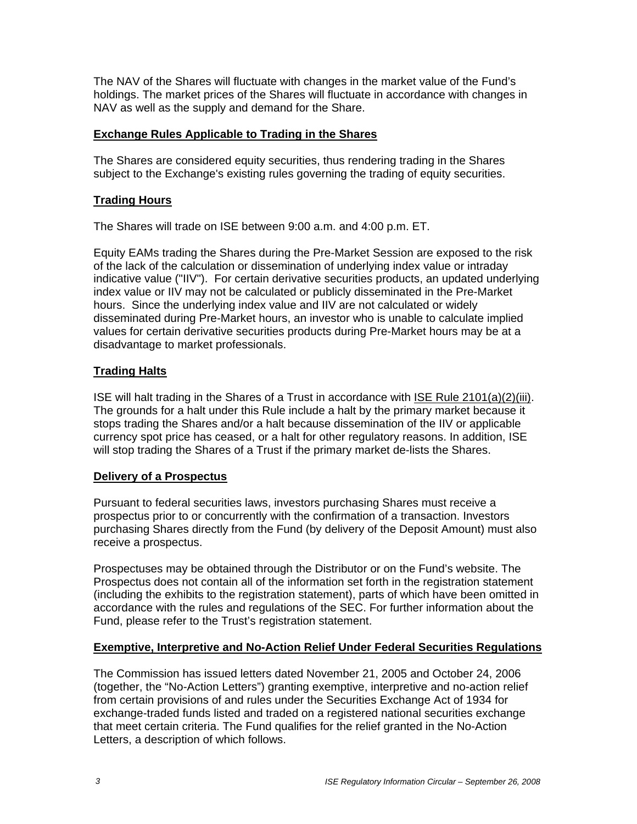The NAV of the Shares will fluctuate with changes in the market value of the Fund's holdings. The market prices of the Shares will fluctuate in accordance with changes in NAV as well as the supply and demand for the Share.

### **Exchange Rules Applicable to Trading in the Shares**

The Shares are considered equity securities, thus rendering trading in the Shares subject to the Exchange's existing rules governing the trading of equity securities.

# **Trading Hours**

The Shares will trade on ISE between 9:00 a.m. and 4:00 p.m. ET.

Equity EAMs trading the Shares during the Pre-Market Session are exposed to the risk of the lack of the calculation or dissemination of underlying index value or intraday indicative value ("IIV"). For certain derivative securities products, an updated underlying index value or IIV may not be calculated or publicly disseminated in the Pre-Market hours. Since the underlying index value and IIV are not calculated or widely disseminated during Pre-Market hours, an investor who is unable to calculate implied values for certain derivative securities products during Pre-Market hours may be at a disadvantage to market professionals.

# **Trading Halts**

ISE will halt trading in the Shares of a Trust in accordance with ISE Rule 2101(a)(2)(iii). The grounds for a halt under this Rule include a halt by the primary market because it stops trading the Shares and/or a halt because dissemination of the IIV or applicable currency spot price has ceased, or a halt for other regulatory reasons. In addition, ISE will stop trading the Shares of a Trust if the primary market de-lists the Shares.

### **Delivery of a Prospectus**

Pursuant to federal securities laws, investors purchasing Shares must receive a prospectus prior to or concurrently with the confirmation of a transaction. Investors purchasing Shares directly from the Fund (by delivery of the Deposit Amount) must also receive a prospectus.

Prospectuses may be obtained through the Distributor or on the Fund's website. The Prospectus does not contain all of the information set forth in the registration statement (including the exhibits to the registration statement), parts of which have been omitted in accordance with the rules and regulations of the SEC. For further information about the Fund, please refer to the Trust's registration statement.

### **Exemptive, Interpretive and No-Action Relief Under Federal Securities Regulations**

The Commission has issued letters dated November 21, 2005 and October 24, 2006 (together, the "No-Action Letters") granting exemptive, interpretive and no-action relief from certain provisions of and rules under the Securities Exchange Act of 1934 for exchange-traded funds listed and traded on a registered national securities exchange that meet certain criteria. The Fund qualifies for the relief granted in the No-Action Letters, a description of which follows.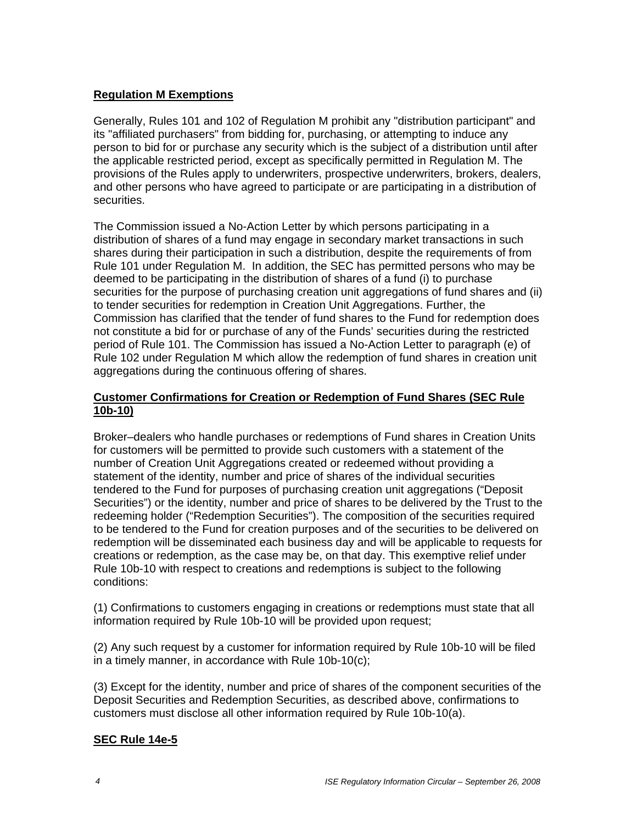### **Regulation M Exemptions**

Generally, Rules 101 and 102 of Regulation M prohibit any "distribution participant" and its "affiliated purchasers" from bidding for, purchasing, or attempting to induce any person to bid for or purchase any security which is the subject of a distribution until after the applicable restricted period, except as specifically permitted in Regulation M. The provisions of the Rules apply to underwriters, prospective underwriters, brokers, dealers, and other persons who have agreed to participate or are participating in a distribution of securities.

The Commission issued a No-Action Letter by which persons participating in a distribution of shares of a fund may engage in secondary market transactions in such shares during their participation in such a distribution, despite the requirements of from Rule 101 under Regulation M. In addition, the SEC has permitted persons who may be deemed to be participating in the distribution of shares of a fund (i) to purchase securities for the purpose of purchasing creation unit aggregations of fund shares and (ii) to tender securities for redemption in Creation Unit Aggregations. Further, the Commission has clarified that the tender of fund shares to the Fund for redemption does not constitute a bid for or purchase of any of the Funds' securities during the restricted period of Rule 101. The Commission has issued a No-Action Letter to paragraph (e) of Rule 102 under Regulation M which allow the redemption of fund shares in creation unit aggregations during the continuous offering of shares.

# **Customer Confirmations for Creation or Redemption of Fund Shares (SEC Rule 10b-10)**

Broker–dealers who handle purchases or redemptions of Fund shares in Creation Units for customers will be permitted to provide such customers with a statement of the number of Creation Unit Aggregations created or redeemed without providing a statement of the identity, number and price of shares of the individual securities tendered to the Fund for purposes of purchasing creation unit aggregations ("Deposit Securities") or the identity, number and price of shares to be delivered by the Trust to the redeeming holder ("Redemption Securities"). The composition of the securities required to be tendered to the Fund for creation purposes and of the securities to be delivered on redemption will be disseminated each business day and will be applicable to requests for creations or redemption, as the case may be, on that day. This exemptive relief under Rule 10b-10 with respect to creations and redemptions is subject to the following conditions:

(1) Confirmations to customers engaging in creations or redemptions must state that all information required by Rule 10b-10 will be provided upon request;

(2) Any such request by a customer for information required by Rule 10b-10 will be filed in a timely manner, in accordance with Rule 10b-10(c);

(3) Except for the identity, number and price of shares of the component securities of the Deposit Securities and Redemption Securities, as described above, confirmations to customers must disclose all other information required by Rule 10b-10(a).

### **SEC Rule 14e-5**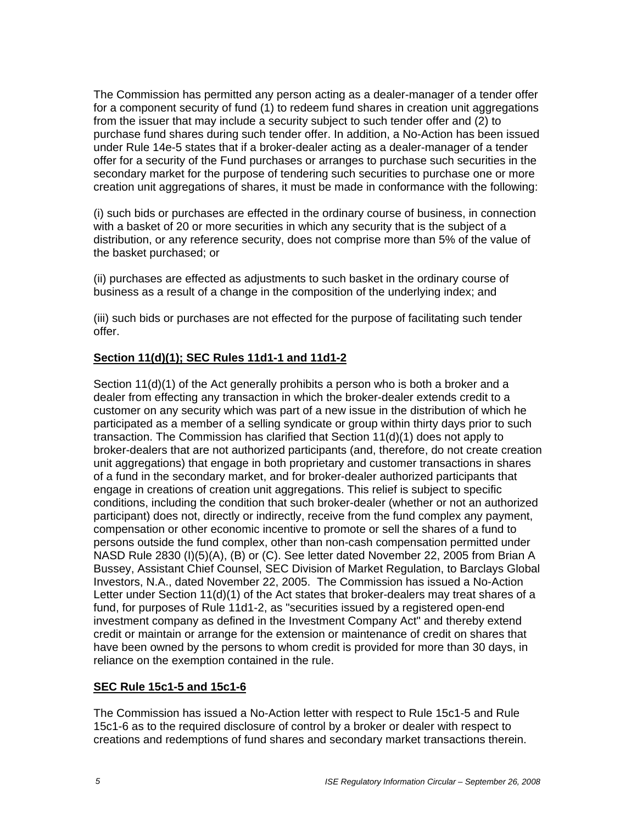The Commission has permitted any person acting as a dealer-manager of a tender offer for a component security of fund (1) to redeem fund shares in creation unit aggregations from the issuer that may include a security subject to such tender offer and (2) to purchase fund shares during such tender offer. In addition, a No-Action has been issued under Rule 14e-5 states that if a broker-dealer acting as a dealer-manager of a tender offer for a security of the Fund purchases or arranges to purchase such securities in the secondary market for the purpose of tendering such securities to purchase one or more creation unit aggregations of shares, it must be made in conformance with the following:

(i) such bids or purchases are effected in the ordinary course of business, in connection with a basket of 20 or more securities in which any security that is the subject of a distribution, or any reference security, does not comprise more than 5% of the value of the basket purchased; or

(ii) purchases are effected as adjustments to such basket in the ordinary course of business as a result of a change in the composition of the underlying index; and

(iii) such bids or purchases are not effected for the purpose of facilitating such tender offer.

# **Section 11(d)(1); SEC Rules 11d1-1 and 11d1-2**

Section 11(d)(1) of the Act generally prohibits a person who is both a broker and a dealer from effecting any transaction in which the broker-dealer extends credit to a customer on any security which was part of a new issue in the distribution of which he participated as a member of a selling syndicate or group within thirty days prior to such transaction. The Commission has clarified that Section 11(d)(1) does not apply to broker-dealers that are not authorized participants (and, therefore, do not create creation unit aggregations) that engage in both proprietary and customer transactions in shares of a fund in the secondary market, and for broker-dealer authorized participants that engage in creations of creation unit aggregations. This relief is subject to specific conditions, including the condition that such broker-dealer (whether or not an authorized participant) does not, directly or indirectly, receive from the fund complex any payment, compensation or other economic incentive to promote or sell the shares of a fund to persons outside the fund complex, other than non-cash compensation permitted under NASD Rule 2830 (I)(5)(A), (B) or (C). See letter dated November 22, 2005 from Brian A Bussey, Assistant Chief Counsel, SEC Division of Market Regulation, to Barclays Global Investors, N.A., dated November 22, 2005. The Commission has issued a No-Action Letter under Section 11(d)(1) of the Act states that broker-dealers may treat shares of a fund, for purposes of Rule 11d1-2, as "securities issued by a registered open-end investment company as defined in the Investment Company Act" and thereby extend credit or maintain or arrange for the extension or maintenance of credit on shares that have been owned by the persons to whom credit is provided for more than 30 days, in reliance on the exemption contained in the rule.

### **SEC Rule 15c1-5 and 15c1-6**

The Commission has issued a No-Action letter with respect to Rule 15c1-5 and Rule 15c1-6 as to the required disclosure of control by a broker or dealer with respect to creations and redemptions of fund shares and secondary market transactions therein.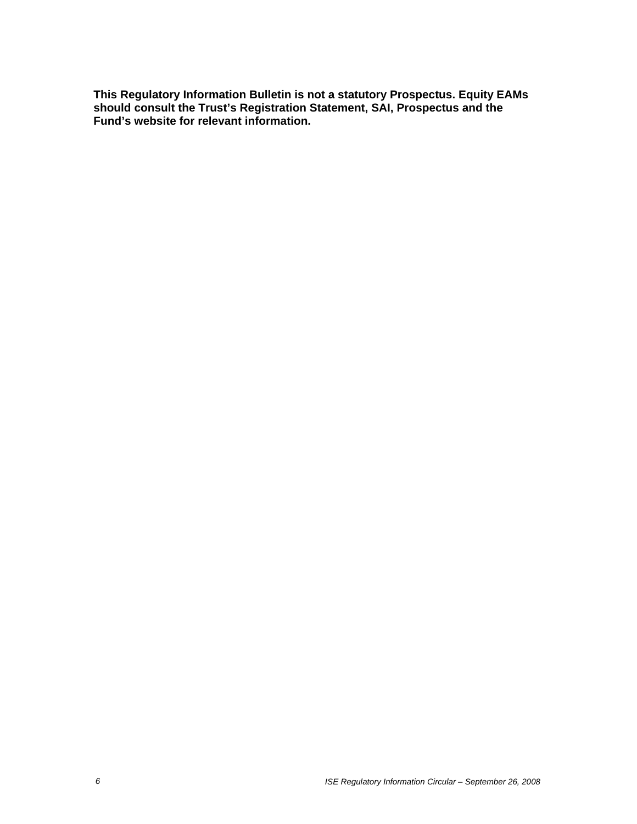**This Regulatory Information Bulletin is not a statutory Prospectus. Equity EAMs should consult the Trust's Registration Statement, SAI, Prospectus and the Fund's website for relevant information.**